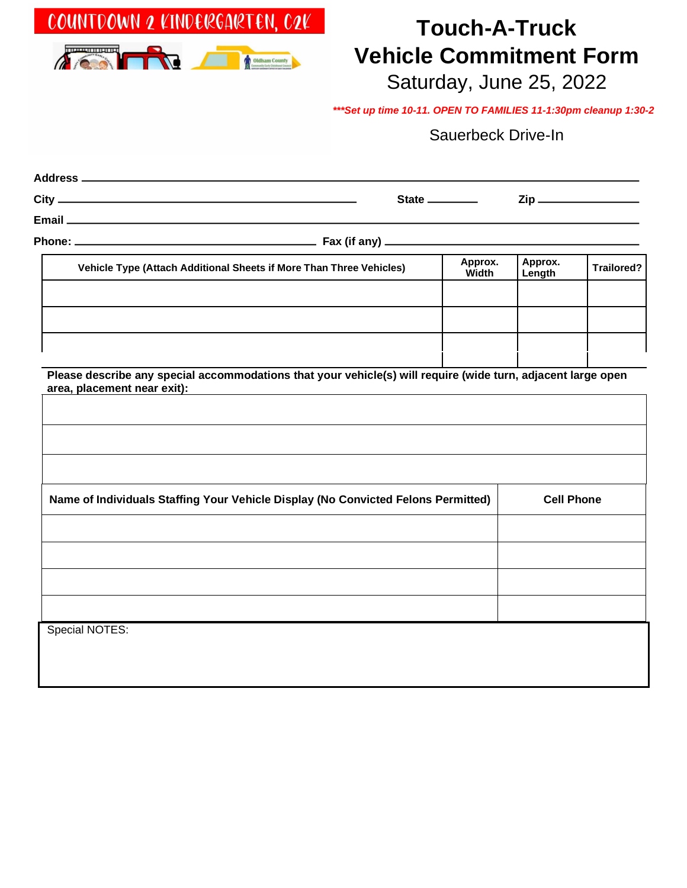# **Touch-A-Truck Vehicle Commitment Form**

Saturday, June 25, 2022

*\*\*\*Set up time 10-11. OPEN TO FAMILIES 11-1:30pm cleanup 1:30-2* 

#### Sauerbeck Drive-In

|                                                                                                                                             |  | State ________   |                   |            |  |
|---------------------------------------------------------------------------------------------------------------------------------------------|--|------------------|-------------------|------------|--|
|                                                                                                                                             |  |                  |                   |            |  |
|                                                                                                                                             |  |                  |                   |            |  |
| Vehicle Type (Attach Additional Sheets if More Than Three Vehicles)                                                                         |  | Approx.<br>Width | Approx.<br>Length | Trailored? |  |
|                                                                                                                                             |  |                  |                   |            |  |
| Please describe any special accommodations that your vehicle(s) will require (wide turn, adjacent large open<br>area, placement near exit): |  |                  |                   |            |  |
|                                                                                                                                             |  |                  |                   |            |  |
| Name of Individuals Staffing Your Vehicle Display (No Convicted Felons Permitted)                                                           |  |                  | <b>Cell Phone</b> |            |  |
|                                                                                                                                             |  |                  |                   |            |  |
|                                                                                                                                             |  |                  |                   |            |  |
| Special NOTES:                                                                                                                              |  |                  |                   |            |  |
|                                                                                                                                             |  |                  |                   |            |  |
|                                                                                                                                             |  |                  |                   |            |  |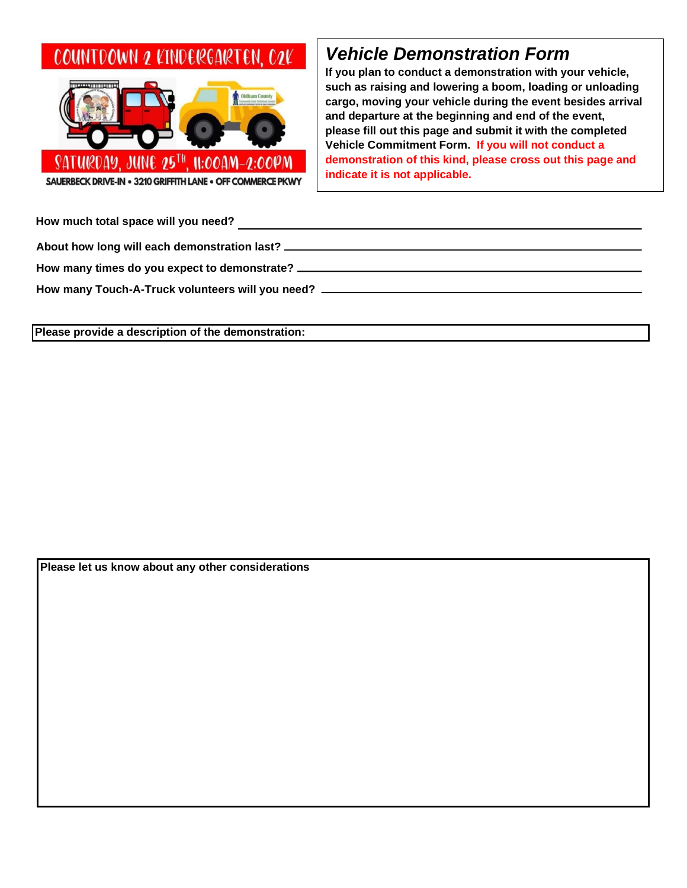## COUNTDOWN 2 KINDERGARTEN. C2K



### *Vehicle Demonstration Form*

**If you plan to conduct a demonstration with your vehicle, such as raising and lowering a boom, loading or unloading cargo, moving your vehicle during the event besides arrival and departure at the beginning and end of the event, please fill out this page and submit it with the completed Vehicle Commitment Form. If you will not conduct a demonstration of this kind, please cross out this page and indicate it is not applicable.** 

**How much total space will you need? About how long will each demonstration last? How many times do you expect to demonstrate?** 

**How many Touch-A-Truck volunteers will you need?** 

**Please provide a description of the demonstration:** 

**Please let us know about any other considerations**